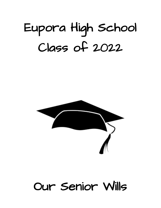### Eupora High School Class of 2022



#### Our Senior Wills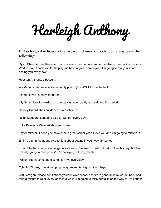Harleigh Anthony

#### I, **Harleigh Anthony**, of not-so-sound mind or body, do hereby leave the following:

Dylan Chandler: another ride to school every morning and someone else to hang out with every Wednesday. Thank you for helping me have a great senior year! I'm going to really miss not seeing you every day!

Houston Anthony: a possum.

Alli Mann: someone else to randomly punch (aka ASUULT) in the hall.

Joseph Lewis: a baby kangaroo.

Lily Smith: look forward to no one stealing your candy at break and 5th period.

Rawley Buford: the confidence of a confidence.

Nolan Medders: someone else to "Simba" every day.

Luke Palmer: a Walmart shopping spree.

Taylor Mitchell: I hope you have such a great senior year! I love you and I'm going to miss you!

Emily Column: someone else to fight about getting in your way 4th period.

Ethan Stephenson: pickled eggs. Also, I know I've said I would put "I don't like this guy" but I'm actually going to miss your VERY annoying self very much.

Mason Booth: someone else to high five every day.

Tyler McCluskey: me kidnapping danquan and taking him to college.

Cliff Jernigan: please don't stress yourself over school and life in general so much. Sit back and take a minute to relax every once in a while. I'm going to miss our talks on the way to 4th period!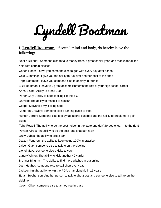# Lyndell Boatman

#### I, **Lyndell Boatman**, of sound mind and body, do hereby leave the following:

Neelie Dillinger: Someone else to take money from, a great senior year, and thanks for all the help with certain classes Cohen Hood: I leave you someone else to golf with every day after school Cole Cummings: I give you the ability to run over another post at the shop Tripp Boatman: I leave you someone else to destroy in fortnite Eliza Boatman: I leave you great accomplishments the rest of your high school career Anna Blaine: Ability to break 100 Porter Gary: Ability to keep looking like Kidd G Damien: The ability to make it to nascar Cooper McDaniel: My kicking spot Kameron Crowley: Someone else's parking place to steal Hunter Dorroh: Someone else to play tap sports baseball and the ability to break more golf clubs Tabb Powell: The ability to be the best holder in the state and don't forget to lean it to the right Peyton Allred: the ability to be the best long snapper in 2A Drew Dabbs: the ability to break par Dayton Fondren: the ability to keep going 120% in practice Jaiden Gary: someone else to talk to on the sideline Lionel Mays: someone else's kicks to catch Landry Winter: The ability to kick another 40 yarder Bronnor Bingham: The ability to find more glitches in gta online Josh Hughes: someone else to call short every day Jackson Knight: ability to win the PGA championship in 15 years Ethan Stephenson: Another person to talk to about gta, and someone else to talk to on the sideline

Coach Oliver: someone else to annoy you in class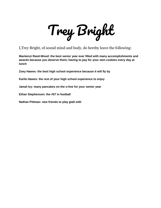Trey Bright

I,Trey Bright, of sound mind and body, do hereby leave the following:

**Mackenzi Reed-Wood: the best senior year ever filled with many accomplishments and awards because you deserve them; having to pay for your own cookies every day at lunch**

**Zoey Hawes: the best high school experience because it will fly by**

**Karlie Hawes: the rest of your high school experience to enjoy**

**Jamal Ivy: many pancakes on the o-line for your senior year**

**Ethan Stephenson: the #57 in football**

**Nathan Pittman: new friends to play gta5 with**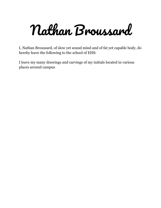Nathan Broussard

I, Nathan Broussard, of slow yet sound mind and of fat yet capable body, do hereby leave the following to the school of EHS:

I leave my many drawings and carvings of my initials located in various places around campus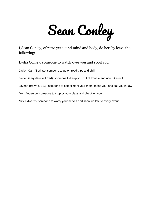Sean Conley

I,Sean Conley, of retro yet sound mind and body, do hereby leave the following:

Lydia Conley: someone to watch over you and spoil you

Javion Carr (Sprinta): someone to go on road trips and chill

Jaiden Gary (Russell Red): someone to keep you out of trouble and ride bikes with

Javeon Brown (JB13): someone to compliment your mom, moss you, and call you in-law

Mrs. Anderson: someone to stop by your class and check on you

Mrs. Edwards: someone to worry your nerves and show up late to every event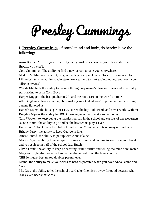Presley Cummings

#### I, **Presley Cummings**, of sound mind and body, do hereby leave the following:

AnnaBlaine Cummings- the ability to try and be as cool as your big sister even though you can't.

Cole Cummings- The ability to find a new person to take you everywhere.

Maddie McMullan- the ability to give the legendary nickname "twan" to someone else Lillian Winter- the ability to win state next year and to start saving money, and wash your "dirty converse".

Woods Mitchell- the ability to make it through my mama's class next year and to actually start talking to us in Corn Boys

Harper Doggett- the best pitcher in 2A, and the not a care in the world attitude

Ally Bingham- i leave you the job of making sure Chlo doesn't flip the dart and anything banana flavored ;)

Hannah Myers- the horse girl of EHS, started the hey dude trend, and never works with me. Brayden Myers- the ability for B&G mowing to actually make some money

Cain Wooten- to keep being the happiest person in the school and eat lots of cheeseburgers. Jacob Crimm- the ability to go and be the best tennis player ever

Hallie and Abbie Grace- the ability to make sure Mimi doesn't take away our kid table. Britany Perry- the ability to keep George in line.

Ames Conrad- the ability to put up with Anna Blaine

Macey Ray- the ability to never quit working at sonic and coming to see us on your break, and to not sleep in half of the school day. Butch.

Olivia Frank- the ability to keep on wearing "cute" outfits and telling me mine don't match. Mary and Ryleigh- i leave yall someone else to rant to on the tennis courts.

Cliff Jernigan- best mixed doubles partner ever

Mama- the ability to make your class as hard as possible when you have Anna Blaine and Cole.

Mr. Gray- the ability to let the school board take Chemistry away for good because who really even needs that class.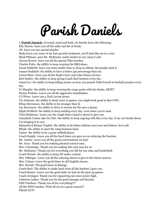### Parish Daniels

I, **Parish Daniels**, of sound, mind and body, do hereby leave the following:

Khy Morris- leave you all the mike and ike at break.

JD- leave you my special playlist.

Rudy-leave you some of my hair growth treatment, you'll look like me in a year.

Mark Pittman- pass Mr. McKinney candy basket to you, keep it safe.

Javeon Brown- leave you all the special Nike hoodies.

Charles Potts- the ability to keep wearing the BBQ shoes.

Jessie Sudduth- leave you more studio time to drop an album, the people need it.

Jamari Sudduth- the ability to have a better 3pt percentage than me.

Lionel Mays- leave you all the Steph Curry and Luka Doncic jerseys.

Rett Embry- the ability to keep giving Coach Burl buckets every day.

Jamal Ivy- the ability to keep telling stories on how you punish Tabb Powell at football practice every day.

Ty Murphy- the ability to keep wearing the cargo pants with the dunks, DRIP!!

Peyton Perkins- Leave you all the aggressive handshakes.

CJ Oliver- Leave you a Zach Lavine jersey.

Tre Johnson- the ability to dunk more in games, you might look good in that UNO.

Ethan Stevenson- the ability to be stronger than Q.

Jay Stevenson- the ability to drive in storms for the race 2 pizzas.

Elijah Wofford- the ability to keep smiling every day, even when you're mad.

Chris Robinson- Leave you the rough times Jamal is about to give you.

Jomalachi Conley aka Joe Dirt- the ability to keep arguing with khy every day, if my car breaks down i'm bringing it to you.

Rakaysha & Rriana Triplett- the ability to be better athletes next year and behave, love yall.

Mirah- the ability to start the wing business back.

Taylor- the ability to be a great softball player.

Coach Knight- Leave you all the hard times you gave us on reducing the fraction.

Mr. Austin- Leave you all the good conversations we had.

Mr. Gray- Thank you for making physical science easy.

Mrs. Cummings- Thank you for making this year easy for us.

Mr. Mckinney- Thank you for everything you did for our class and basketball.

Coach Woods- the ability to keep JD under control.

Mrs. Dillinger- Leave you all the coloring sheets to give to the future seniors.

Mrs. Crimm- Leave the good times in old English classes.

Mrs. Stroud- The good times in Biology.

Coach Burl- The ability to shake back from all the buckets I gave you.

Coach Ramer- Leave you the good dubs we had on the pick-up games.

Coach Jernigan- Thank you for supporting me since junior high.

Cafeteria Ladies- Thank you for the good sausage and biscuits.

EHS Teachers- Thank you all for everything!!!!

All the EHS Coaches- Wish all of you a great season!!!

PMAN OUT!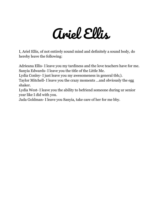#### Ariel Ellis

I, Ariel Ellis, of not entirely sound mind and definitely a sound body, do hereby leave the following:

Adrieana Ellis- I leave you my tardiness and the love teachers have for me. Sanyia Edwards- I leave you the title of the Little Me.

Lydia Conley- I just leave you my awesomeness in general tbh;).

Taylor Mitchell- I leave you the crazy moments …and obviously the egg shaker.

Lydia West- I leave you the ability to befriend someone during ur senior year like I did with you.

Jada Goldman- I leave you Sanyia, take care of her for me bby.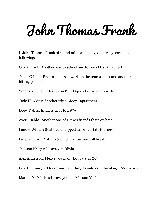### John Thomas Frank

I, John Thomas Frank of sound mind and body, do hereby leave the following:

Olivia Frank: Another way to school and to keep Lfrank in check

Jacob Crimm: Endless hours of work on the tennis court and another hitting partner

Woods Mitchell: I leave you Billy Gip and a mixed dubs chip

Jude Hawkins: Another trip to Joey's apartment

Drew Dabbs: Endless trips to BWW

Avery Dabbs: Another one of Drew's friends that you hate

Landry Winter: Boatload of topped drives at state tourney

Dale Britt: A PR of 17:50 which I know you will break

Jackson Knight: I leave you Olivia

Alex Anderson: I leave you many hot days at XC

Cole Cummings: I leave you something I could not - breaking 100 strokes

Maddie McMullan: I leave you the Maroon Mafia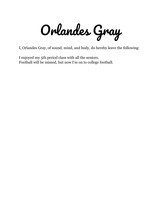Orlandes Gray

I, Orlandes Gray, of sound, mind, and body, do hereby leave the following:

I enjoyed my 5th period class with all the seniors. Football will be missed, but now I'm on to college football.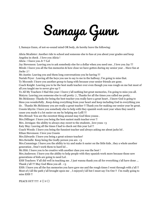## Samaya Gunn

I, Samaya Gunn, of not-so-sound mind OR body, do hereby leave the following:

Alicia Mcalister: Another ride to school and someone else to fuss at you about your grades and keep Angelea in check . I love you Alicia !

Alicia : I leave you Jr !! Lol

Jay Stevenson: Leaving you to ask somebody else for a dollar when you need one , I love you Jay !!! Mirah: I leave you all the fun memories & how close we have gotten during my senior year .. Have fun at Jacks :) !

Mr.Austin: Leaving you and them long conversations you be having !!!

Nariah Pryor : Leaving all the heys you use to say to me in the hallway; I'm going to miss that. Ty Mccomb: I leave you another group to hang with because your senior friends are gone.

Coach Knight: Leaving you to be the best math teacher ever even though you was rough on me but most of all you taught me to never give up !!

To All My Teachers I Had this year: I leave y'all nothing but great memories, I'm going to miss you all. Matyra: Leaving you someone else to call pretty :) , Thanks for all the times you called me pretty . Mr.Mckinney: Thanks for being the best teacher you really have a great heart , I know God is going to bless you wonderfully , Keep doing everything from your heart and keep including God in everything you do . Thanks Mr.Mckinney you are really a great teacher !! Thank you for making our senior year be great. Cousin khyrin: I leave you somebody else to help with they spanish work next year when they need it cause you made it a lot easier on me by helping me Lolll !!!

Mrs.Stroud: You are the sweetest thing around may God bless youuu .

Mrs.Dillinger: I leave you being the best easiest math teacher ever !!

Mrs. Jernigan: the ability to always stay sweet to the students , love youu <3

Katy May: Leaving all the times I had to check out this year Lol !!

Coach Woods: I leave you being the funniest teacher and always asking me about jacks lol .

Ethan Stevenson: I love you Cousin

Mrs.Edwards: I leave you being a great science teacher!

Mrs.Swindle: Keep being the Godly person you are. <3

Mrs.Cummings: I leave you the ability to try and make it easier on the little kids , they a whole another generation , Don't work them to hard lol ..

Mr.Hitt: I leave you to be creative with another class you was the best !

Mrs.Anderson: I leave you the ability to help people with they spanish work more because those new generations of kids are going to need Lol .

EHS Teachers: Y'all did well in teaching me , I just wanna thank you all for everything y'all have done … Thank y'all !!! May God Bless you all . <3

EHS: I leave you all the fun memories you have gave me and the rough times I went through with y'all !! Most of y'all the path y'all brought upon me , I enjoyed y'all but I must say I'm Out !! I'm really going to miss EHS !!

PEACE OUT !!!!!  $\mathcal{B} \Box \mathcal{B} \Box$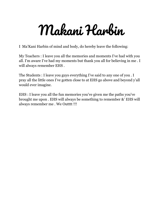## Makani Harbin

I Ma'Kani Harbin of mind and body, do hereby leave the following:

My Teachers : I leave you all the memories and moments I've had with you all. I'm aware I've had my moments but thank you all for believing in me . I will always remember EHS .

The Students : I leave you guys everything I've said to any one of you . I pray all the little ones I've gotten close to at EHS go above and beyond y'all would ever imagine.

EHS : I leave you all the fun memories you've given me the paths you've brought me upon . EHS will always be something to remember &' EHS will always remember me . We Outttt !!!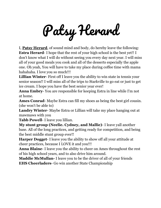Patsy Herard

I, **Patsy Herard**, of sound mind and body, do hereby leave the following: **Estra Herard**- I hope that the rest of your high school is the best yet!! I don't know what I will do without seeing you every day next year. I will miss all of your good meals you cook and all of the desserts especially the apple one. Oh yeah, You will have to take my place during coffee time with mama hahahaha. I love you so much!!!

**Lillian Winter**- First off I leave you the ability to win state in tennis your senior season!! I will miss all of the trips to Starkville to go eat or just to get ice cream. I hope you have the best senior year ever!

**Anna Embry**- You are responsible for keeping Estra in line while I'm not at home.

**Ames Conrad**- Maybe Estra can fill my shoes as being the best girl cousin. (she won't be able to)

**Landry Winter**- Maybe Estra or Lillian will take my place hanging out at mawmaws with you

**Tabb Powell**- I leave you lillian.

**My stunt group (Neelie. Cydney, and Mallie)**- I leave yall another base. All of the long practices, and getting ready for competition, and being the best middle stunt group ever!!

**Harper Dogget**- I leave you the ability to show off all your attitude at cheer practices, because I LOVE it and you!!!

**Anna Blaine**- I leave you the ability to cheer on Ames throughout the rest of his high school years, and to also drive him around.

**Maddie McMullan-** I leave you to be the driver of all of your friends **EHS Cheerladers**- Go win another State Championship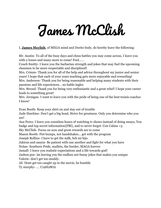## James McClish

I, **James Mcclish**, of MEGA mind and Dorito body, do hereby leave the following:

Mr. Austin- To all of the busy days and chess battles you may come across, I leave you with 2 losses and many more to come! Fool......

Couch Smitty- I leave you the barbarian strength and jokes that may fuel the upcoming classmen to be more respectable and disciplined!

Mrs. Crimm- Thank you for all of the help and advice throughout my junior and senior years! I hope that each of your years teaching gets more enjoyable and rewarding!

Mrs. Anderson- Thank you for being reasonable and helping many students with their passions and life experiences… no hablo ingles

Mrs. Stroud- Thank you for being very enthusiastic and a great rebel! I hope your career leads to something great!

Mrs. Jernigan- I want to leave you with the pride of being one of the best tennis coaches I know!

Evan Booth- Keep your shirt on and stay out of trouble

Jude Hawkins- Don't get a big head, Strive for greatness. Only you determine who you are!

Ana Perez- I leave you countless hours of watching tv shows instead of doing essays, You badge and top secret information{FBI}, and to never forget: Con Calma <3

Sky McClish- Focus on now and great rewards are to come

Mason Booth- Fist bumps, not handshakes… get with the program

Joseph Rollins- I have to get the milk, brb mi hijo

Jakirus and sanyia- Be patient with one another and fight for what you have

Nolan- Southern Pride, mullets, the border, MAGA forever

Jamall- I leave you realistic expectations and a life towards god!

Jashon poe- im leaving you the endless not funny jokes that makes you unique Valerie- don't get too muddy.

Jd- D0nt get too caught up in the movie, be humble

Ty murphy- …. C19H28O2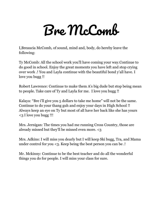### Bre McComb

I,Breaucia McComb, of sound, mind and, body, do hereby leave the following:

Ty McComb: All the school work you'll have coming your way.Continue to do good in school. Enjoy the great moments you have left and stop crying over work .! You and Layla continue with the beautiful bond y'all have. I love you bugg !!

Robert Lawrence: Continue to make them A's big dude but stop being mean to people. Take care of Ty and Layla for me. I love you bugg !!

Kalaya: "Bre i'll give you 5 dollars to take me home" will not be the same. Continue to do your thang guh and enjoy your days in High School !! Always keep an eye on Ty but most of all have her back like she has yours <3 I love you bugg !!!

Mrs. Jernigan: The times you had me running Cross Country, those are already missed but they'll be missed even more. <3

Mrs. Adkins: I will miss you dearly but I will keep Ski bugg, Tra, and Mama under control for you <3. Keep being the best person you can be .!

Mr. Mckinny: Continue to be the best teacher and do all the wonderful things you do for people. I will miss your class for sure.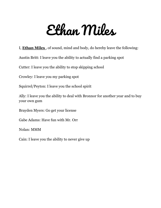#### Ethan Miles

I, **Ethan Miles** , of sound, mind and body, do hereby leave the following:

Austin Britt: I leave you the ability to actually find a parking spot

Cutter: I leave you the ability to stop skipping school

Crowley: I leave you my parking spot

Squirrel/Peyton: I leave you the school spirit

Ally: I leave you the ability to deal with Bronnor for another year and to buy your own gum

Brayden Myers: Go get your license

Gabe Adams: Have fun with Mr. Orr

Nolan: MMM

Cain: I leave you the ability to never give up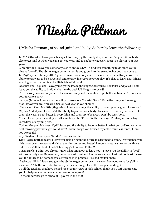## Miesha Pittman

#### I,Miesha Pittman , of sound ,mind and body, do hereby leave the following:

Lil MARK(mark):I leave you a backpack for carrying the family drip now that I'm gone. Somebody else to get mad at when you can't get your way and to get better at every sport you play in your last years.

Z-Man(zylan):I leave you somebody else to annoy 24/7. To find you something to do since you're always "bored". The ability to get better in tennis and grow into the sweet loving boy that you are. Lil Tay(Taylor): ahh my little 6 grade cousin. Somebody else to mess with in the hallways now. The ability to grow up to be a sweet girl and to grow in every sport you play. It's okay to learn new things! Also highschool is nothing like High School Musical.

Nastaiza and Laquala: I leave you guys the late night laughs,adventures, boy talks, and jokes. I both leave you the ability to braid my hair to the back lol! My girls forever!!

Tre: I leave you somebody else to harass for candy and the ability to get better in baseball! (Since it's your favorite sport).

Jamaya (Mimi) - I leave you the ability to grow as a Material Gworl! To be the funny and sweet girl that I know you are! You are a Senior next year as you should!

Chayla and Zion: My little 7th graders. I leave you guys the ability to grow up to be great! I love y'all! CP, Jay,And khyrin: I leave y'all the ability to joke on somebody else cause I've had my fair share of them this year. To get better in everything and grow up to be great. Don't be sassy boys.

Mirah: I leave you the ability to call somebody else "Cuzzo" in the hallways. To always chase a bag regardless of anything else.

Cydney Murphy: My sweet Cyd! I leave you the ability to become better in what you do! You were the best throwing partner a girl could have! (Even though you bruised my ankle countless times) I love you sweet girl!

Ally Bingham: I leave you "Brodie". Brodies for life!

Lady Eagles Softball team: I leave you girls a ring in the future it's destined to come. I've watched you girls grow over the years and y'all are getting better and better! I know my year came short with y'all but I wish y'all the best of luck! Cheering y'all on from Fulton!!

Coach Rawls: I think you already know what I'm about to leave you!! I leave you the ability to "beef" with somebody else. Remember you're the east coast and I'm the west coast. Last but not least I leave you the ability to hit somebody else with balls in practice! I've had my fair share!

Basketball Girls: I leave you guys the ability to get better over the years. Somebody else for y'all to mess with! A better recorder for next year( even though I was the best just kidding!)

To all the teachers that have helped me over my years of high school, thank you a lot! I appreciate you for helping me become a better version of myself!

To the underclass go to school it'll pay off in the end!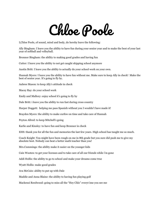#### Chloe Poole

I,Chloe Poole, of sound, mind and body, do hereby leave the following:

Ally Bingham: I leave you the ability to have fun during your senior year and to make the best of your last year of softball and volleyball.

Bronnor Bingham: the ability to making good grades and having fun

Cutter: I leave you the ability to not get caught skipping school anymore

Austin Britt: I leave you the ability to actually do your school work on your own.

Hannah Myers: I leave you the ability to have fun without me. Make sure to keep Ally in check! Make the best of senior year. It's going to fly by.

Aubree Mason: to keep Ally's attitude in check

Macey Ray: do your school work

Emily and Mallory: enjoy school it's going to fly by

Dale Britt: i leave you the ability to run fast during cross country

Harper Doggett: helping me pass Spanish without you I wouldn't have made it!

Brayden Myers: the ability to make curfew on time and take care of Hannah

Peyton Allred: to keep Mitchell's going

Karlie and Kinsley: to have fun and keep Bronnor in check

EHS: thank you for all the fun and memories the last few years. High school has taught me so much.

Coach Knight: You might have been rough on me in 8th grade but you sure did push me to give my absolute best. Nobody can beat a better math teacher than you!

Mrs.Cummings: the ability make it easier on the younger kids

Cain Wooten: to get your licenses and to take care of all our friends while i'm gone

Addi Hollis: the ability to go to school and make your dreams come true

Wyatt Hollis: make good grades

Ava McCain: ability to put up with Dale

Maddie and Anna Blaine: the ability to having fun playing golf

Mackenzi Reedwood: going to miss all the "Hey Chlo" everyt ime you see me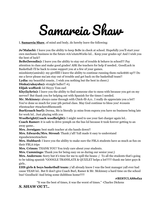### Samareia Shaw

I, **Samareia Shaw**, of mind and body, do hereby leave the following:

**Jo'Malachi:** I leave you the ability to keep BeBe in check at school. Hopefully you'll start your own mechanic business in the future #Jo'sAutoWorks lol… Keep your grades up! And I wish you the best of luck!!

**BeBe(brendin):** I leave you the ability to stay out of trouble & behave in school!!! Pay attention in class and make good grades! ASK the teachers for help if needed.. GoodLuck in Basketball i'll be back to come support you at a few of your games.

mi2shiesty(amirah): my girrllllll I leave the ability to continue running them racks\$\$\$ up!!! Do me a favor please ma'am stay out of trouble and get back on the basketball team!!

Lydia: my beautiful cousin.. I wish you nothing but the best in cheer;)

**Dinka(rakaysha):** straight baller!! #5

**Elijah wofford:** lol Heyyy Tom earl

**Khy(kyhrin):** I leave you the ability to find someone else to mess with because you got on my nerves!! But thank you for helping out with Spanish for the times I needed.

**Mr. Mckinney:** always came through with Chick-fil-A;0.. I really do appreciate you a lot!! You've done so much for your 5th period class. May God continue to bless you! #cousin #besteacher #teacherofthemonth

**Burl(coach burl):** Derma, Ms is literally 31 mins from eupora you have no business being late for work lol.. Just playing with you

**Woolbright(Coach woolbright):** I might need to use your fast charger again lol..

**Coach Ramer:** it is safe to drive 50mph on the bus lol because it took forever getting to an away game..

**Mrs. Jernigan:** best math teacher at ehs hands down!!

**Mrs. Edwards/Mrs. Stroud:** Thank y'all! Yall made it easy to understand #goodscienceteachers

**Mrs. Hubbard:** I leave you the ability to make sure the FBLA students have as much as fun on their FBLA trips

**Mrs. Crimm:** THANK YOU! You truly care about your students.

**Mrs. Cummings:** Thank you for being easy on us during our senior year;)

**Mrs. Anderson:** Sorry but it's time for me to spill the beans :/ To all the students that's going to be taking spanish \*GOOGLE TRANSLATE & QUIZLET helps a lot!!!!!! thank me later guys & girls..

**EHS girls & boys basketball team:** y'all already know I was the best manager yall ever had cause YEAH lol.. But fr don't give Coach Burl, Ramer & Mr. Mckinney a hard time on the school bus! Goodluck! And bring some dubbbsss home!!!!!

**#BESTCLASSof22**

"It was the best of times, it was the worst of times." -Charles Dickens

#### *S. SHAW OUT!..*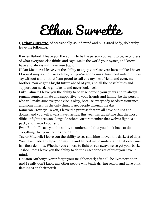#### Ethan Surrette

I, **Ethan Surrette**, of occasionally-sound mind and plus-sized body, do hereby leave the following:

Rawley Buford: I leave you the ability to be the person you want to be, regardless of what everyone else thinks and says. Make the world your oyster, and know I have and always will have your back.

Nolan Medders: I leave you the ability to enjoy your last year here, unlike I have; I know it may sound like a cliché, but you're gonna miss this- I certainly did. I can say without a doubt that I am proud to call you my best friend and even, my brother. You've got a bright future ahead of you, and all the possibilities and support you need, so go take it, and never look back.

Luke Palmer: I leave you the ability to be wise beyond your years and to always remain compassionate and supportive to your friends and family; be the person who will make sure everyone else is okay, because everybody needs reassurance, and sometimes, it's the only thing to get people through the day.

Kameron Crowley: To you, I leave the promise that we all have our ups and downs, and you will always have friends; this year has taught me that the most difficult fights are won alongside others. Just remember that wolves fight as a pack, and I've got your six.

Evan Booth: I leave you the ability to understand that you don't have to do everything that your friends do to fit in.

Taylor Mitchell: I leave you the ability to see sunshine in even the darkest of days. You have made an impact on my life and helped me to understand that every one has their demons. Whether you choose to fight or run away, we've got your back. Jashon Poe: I leave you the ability to do the exact opposite of what you have in mind.

Houston Anthony: Never forget your neighbor carl; after all, he lives next door. And I really don't know any other people who teach driving school and have pink flamingos on their porch.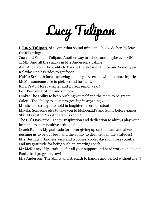# Lucy Tulipan

I, **Lucy Tulipan**, of a somewhat sound mind and body, do hereby leave the following:

Zach and William Tulipan: Another way to school and maybe even ON TIME! And all the snacks in Mrs.Anderson's cabinet!

Alex Anderson: The ability to handle the stress of Junior and Senior year. Kalayla: Endless rides to get food!

NuNu: Strength for an amazing senior year/season with no more injuries! MeMe: someone else to pick on and torment.

Kyra Pratt: More laughter and a great senior year!

Lex: Positive attitude and outlook!

Dinka: The ability to keep pushing yourself and the team to be great!

Calees: The ability to keep progressing in anything you do!

Mirah: The strength to hold in laughter in serious situations!

Mikela: Someone else to take you to McDonald's and Sonic before games. Sky: My seat in Mrs.Anderson's room!

The Girls Basketball Team: Inspiration and dedication to always play your best and to keep positive attitudes!

Coach Ramer: My gratitude for never giving up on the team and always pushing us to be our best, and the ability to deal with all the attitudes!

Mrs. Jernigan: Endless wins and trophies, cooler days for cross country, and my gratitude for being such an amazing coach!

Mr.McKinney: My gratitude for all your support and hard work to help our Basketball program grow!

Mrs.Anderson: The ability and strength to handle 2nd period without me!!!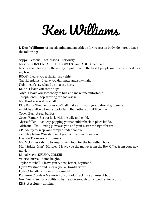### Ken Williams

I, **Ken Williams**, of speedy mind and an athletic for no reason body, do hereby leave the following:

Seppy- Lessons….get lessons….seriously Mason- DONT CREASE THE FORCES…and ADHD medicine Mcclucker- I leave you the ability to put up with the first 2 people on this list. Good luck my friend. BOOF- I leave you a shirt…just a shirt. Gabriel Adams- I leave you da ranger and silky hair. Nolan- can't say what I wanna say here. Kaine- I leave you some hops. Adyn- i leave you somebody to hug and make uncomfortable. Joseph lewis- Stop growing for god's sake. Mr. Hawkins- A stress ball EHS Band- The memories you'll all make until your graduation day….some might be a little bit more…colorful….than others but it'll be fine. Coach Burl- A real barber Coach Ramer- Best of luck with the wife and child. Alyssa fuller- Just keep popping your shoulder back in place kiddo. Adrieana Ellis- Boxing gloves so you and your sister can fight for real. CP- Ability to keep your temper under control. 4x1 relay team- Win state next year. #1 team in da nation. Hayden Thompson- Cummins Mr. Mckinney- ability to keep buying food for the basketball boys. Mal "Spider-Man" Morales- I leave you the money from the Box Office from your new movie. Lional Mays- KEISHA COLE!!! Valerie Surreal- Some height. Taylor Mitchell- I leave you A new, better, boyfriend. Dylan Westmorland- i leave you a Growth Spurt. Dylan Chandler- the infinity gauntlet. Kameron Crowley- Memories of your old truck…we all miss it bud. Next Year's Seniors- ability to be creative enough for a good senior prank.

EHS- Absolutely nothing.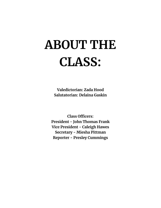#### **ABOUT THE CLASS:**

**Valedictorian: Zada Hood Salutatorian: Delaina Gaskin**

**Class Officers: President - John Thomas Frank Vice President - Caleigh Hawes Secretary - Miesha Pittman Reporter - Presley Cummings**